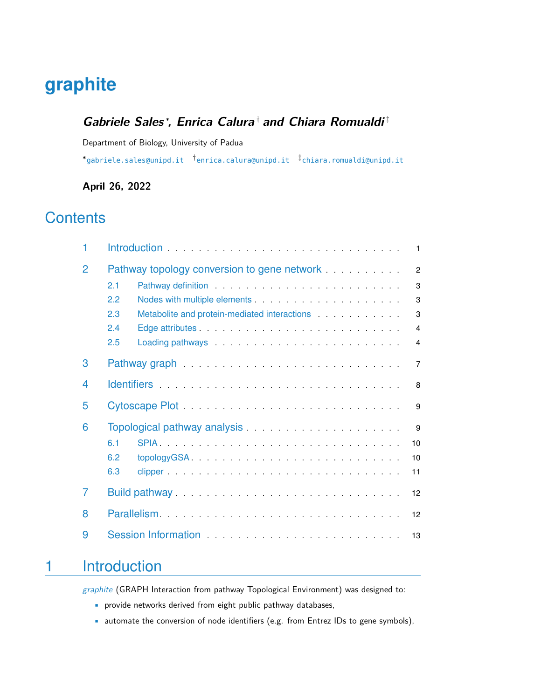# **graphite**

#### **Gabriele Sales** <sup>∗</sup> **, Enrica Calura** † **and Chiara Romualdi** ‡

Department of Biology, University of Padua

∗ [gabriele.sales@unipd.it](mailto:gabriele.sales@unipd.it) † [enrica.calura@unipd.it](mailto:enrica.calura@unipd.it) ‡ [chiara.romualdi@unipd.it](mailto:chiara.romualdi@unipd.it)

### **April 26, 2022**

## **Contents**

| 1              | $\mathbf{1}$                                                                                                                                                                                                                               |
|----------------|--------------------------------------------------------------------------------------------------------------------------------------------------------------------------------------------------------------------------------------------|
| $\overline{2}$ | $\overline{2}$                                                                                                                                                                                                                             |
|                | Pathway definition entertainment and the state of the state of the state of the state of the state of the state of the state of the state of the state of the state of the state of the state of the state of the state of the<br>2.1<br>3 |
|                | 2.2<br>3                                                                                                                                                                                                                                   |
|                | 2.3<br>Metabolite and protein-mediated interactions entitled and protein-mediated interactions<br>3                                                                                                                                        |
|                | 2.4<br>$\overline{4}$                                                                                                                                                                                                                      |
|                | 2.5<br>4                                                                                                                                                                                                                                   |
| 3              | $\overline{7}$                                                                                                                                                                                                                             |
| 4              | 8                                                                                                                                                                                                                                          |
| 5              | 9                                                                                                                                                                                                                                          |
| 6              | 9                                                                                                                                                                                                                                          |
|                | 6.1<br>10                                                                                                                                                                                                                                  |
|                | 6.2<br>10                                                                                                                                                                                                                                  |
|                | 6.3<br>11                                                                                                                                                                                                                                  |
| $\overline{7}$ | Build pathway<br>12                                                                                                                                                                                                                        |
| 8              | 12                                                                                                                                                                                                                                         |
| 9              |                                                                                                                                                                                                                                            |

## <span id="page-0-0"></span>1 Introduction

[graphite](http://bioconductor.org/packages/graphite) (GRAPH Interaction from pathway Topological Environment) was designed to:

- provide networks derived from eight public pathway databases,
- automate the conversion of node identifiers (e.g. from Entrez IDs to gene symbols),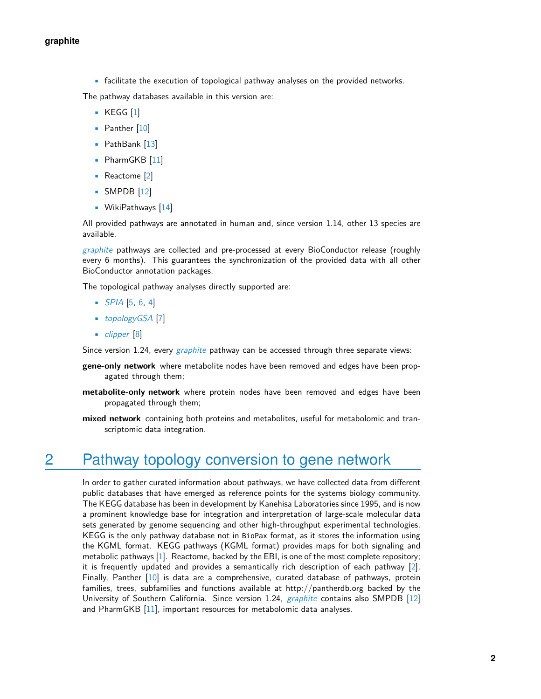• facilitate the execution of topological pathway analyses on the provided networks.

The pathway databases available in this version are:

- KEGG [\[1\]](#page-14-0)
- Panther [\[10\]](#page-14-1)
- PathBank [\[13\]](#page-15-0)
- PharmGKB [\[11\]](#page-15-1)
- Reactome [\[2\]](#page-14-2)
- SMPDB [\[12\]](#page-15-2)
- **•** WikiPathways [\[14\]](#page-15-3)

All provided pathways are annotated in human and, since version 1.14, other 13 species are available.

[graphite](http://bioconductor.org/packages/graphite) pathways are collected and pre-processed at every BioConductor release (roughly every 6 months). This guarantees the synchronization of the provided data with all other BioConductor annotation packages.

The topological pathway analyses directly supported are:

- $SPIA$  [\[5,](#page-14-3) [6,](#page-14-4) [4\]](#page-14-5)
- [topologyGSA](http://bioconductor.org/packages/topologyGSA) [\[7\]](#page-14-6)
- [clipper](http://bioconductor.org/packages/clipper) [\[8\]](#page-14-7)

Since version 1.24, every [graphite](http://bioconductor.org/packages/graphite) pathway can be accessed through three separate views:

- **gene-only network** where metabolite nodes have been removed and edges have been propagated through them;
- **metabolite-only network** where protein nodes have been removed and edges have been propagated through them;
- <span id="page-1-0"></span>**mixed network** containing both proteins and metabolites, useful for metabolomic and transcriptomic data integration.

### 2 Pathway topology conversion to gene network

<span id="page-1-1"></span>In order to gather curated information about pathways, we have collected data from different public databases that have emerged as reference points for the systems biology community. The KEGG database has been in development by Kanehisa Laboratories since 1995, and is now a prominent knowledge base for integration and interpretation of large-scale molecular data sets generated by genome sequencing and other high-throughput experimental technologies. KEGG is the only pathway database not in BioPax format, as it stores the information using the KGML format. KEGG pathways (KGML format) provides maps for both signaling and metabolic pathways [\[1\]](#page-14-0). Reactome, backed by the EBI, is one of the most complete repository; it is frequently updated and provides a semantically rich description of each pathway [\[2\]](#page-14-2). Finally, Panther [\[10\]](#page-14-1) is data are a comprehensive, curated database of pathways, protein families, trees, subfamilies and functions available at http://pantherdb.org backed by the University of Southern California. Since version 1.24, *[graphite](http://bioconductor.org/packages/graphite)* contains also SMPDB [\[12\]](#page-15-2) and PharmGKB [\[11\]](#page-15-1), important resources for metabolomic data analyses.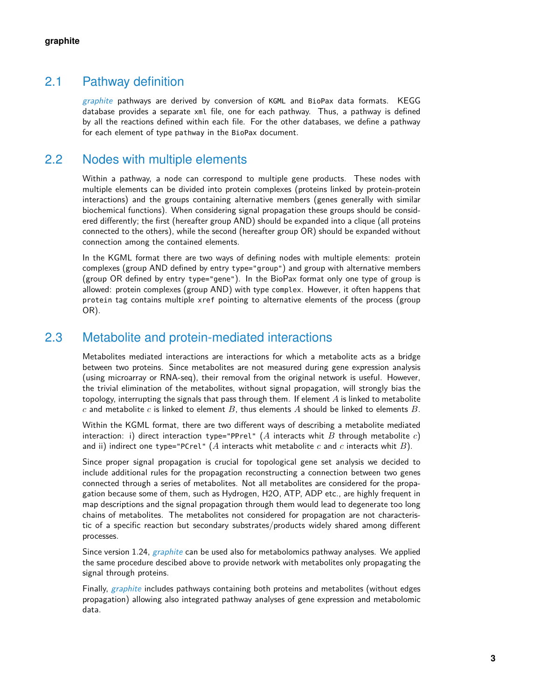#### 2.1 Pathway definition

[graphite](http://bioconductor.org/packages/graphite) pathways are derived by conversion of KGML and BioPax data formats. KEGG database provides a separate xml file, one for each pathway. Thus, a pathway is defined by all the reactions defined within each file. For the other databases, we define a pathway for each element of type pathway in the BioPax document.

#### 2.2 Nodes with multiple elements

<span id="page-2-0"></span>Within a pathway, a node can correspond to multiple gene products. These nodes with multiple elements can be divided into protein complexes (proteins linked by protein-protein interactions) and the groups containing alternative members (genes generally with similar biochemical functions). When considering signal propagation these groups should be considered differently; the first (hereafter group AND) should be expanded into a clique (all proteins connected to the others), while the second (hereafter group OR) should be expanded without connection among the contained elements.

In the KGML format there are two ways of defining nodes with multiple elements: protein complexes (group AND defined by entry type="group") and group with alternative members (group OR defined by entry type="gene"). In the BioPax format only one type of group is allowed: protein complexes (group AND) with type complex. However, it often happens that protein tag contains multiple xref pointing to alternative elements of the process (group OR).

#### 2.3 Metabolite and protein-mediated interactions

<span id="page-2-1"></span>Metabolites mediated interactions are interactions for which a metabolite acts as a bridge between two proteins. Since metabolites are not measured during gene expression analysis (using microarray or RNA-seq), their removal from the original network is useful. However, the trivial elimination of the metabolites, without signal propagation, will strongly bias the topology, interrupting the signals that pass through them. If element  $A$  is linked to metabolite c and metabolite c is linked to element B, thus elements A should be linked to elements B.

Within the KGML format, there are two different ways of describing a metabolite mediated interaction: i) direct interaction type="PPrel" (A interacts whit B through metabolite c) and ii) indirect one type="PCrel" ( $A$  interacts whit metabolite  $c$  and  $c$  interacts whit  $B$ ).

Since proper signal propagation is crucial for topological gene set analysis we decided to include additional rules for the propagation reconstructing a connection between two genes connected through a series of metabolites. Not all metabolites are considered for the propagation because some of them, such as Hydrogen, H2O, ATP, ADP etc., are highly frequent in map descriptions and the signal propagation through them would lead to degenerate too long chains of metabolites. The metabolites not considered for propagation are not characteristic of a specific reaction but secondary substrates/products widely shared among different processes.

Since version 1.24, *[graphite](http://bioconductor.org/packages/graphite)* can be used also for metabolomics pathway analyses. We applied the same procedure descibed above to provide network with metabolites only propagating the signal through proteins.

<span id="page-2-2"></span>Finally, [graphite](http://bioconductor.org/packages/graphite) includes pathways containing both proteins and metabolites (without edges propagation) allowing also integrated pathway analyses of gene expression and metabolomic data.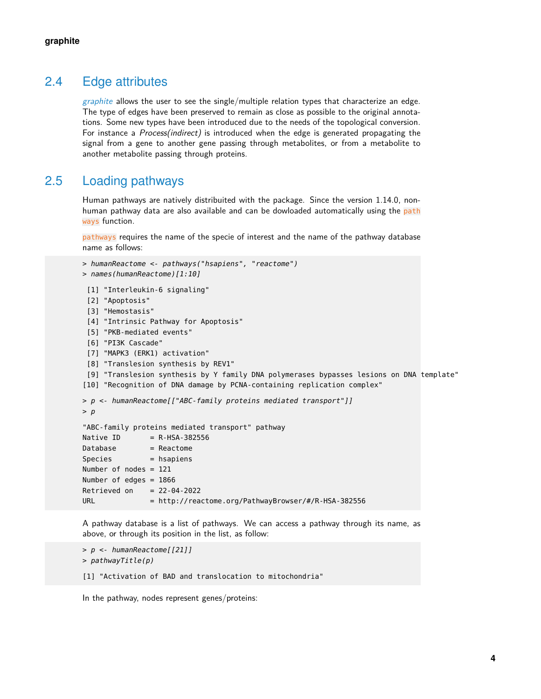#### 2.4 Edge attributes

[graphite](http://bioconductor.org/packages/graphite) allows the user to see the single/multiple relation types that characterize an edge. The type of edges have been preserved to remain as close as possible to the original annotations. Some new types have been introduced due to the needs of the topological conversion. For instance a *Process(indirect)* is introduced when the edge is generated propagating the signal from a gene to another gene passing through metabolites, or from a metabolite to another metabolite passing through proteins.

#### 2.5 Loading pathways

<span id="page-3-0"></span>Human pathways are natively distribuited with the package. Since the version 1.14.0, nonhuman pathway data are also available and can be dowloaded automatically using the path ways function.

pathways requires the name of the specie of interest and the name of the pathway database name as follows:

```
> humanReactome <- pathways("hsapiens", "reactome")
> names(humanReactome)[1:10]
 [1] "Interleukin-6 signaling"
 [2] "Apoptosis"
 [3] "Hemostasis"
 [4] "Intrinsic Pathway for Apoptosis"
 [5] "PKB-mediated events"
 [6] "PI3K Cascade"
 [7] "MAPK3 (ERK1) activation"
 [8] "Translesion synthesis by REV1"
 [9] "Translesion synthesis by Y family DNA polymerases bypasses lesions on DNA template"
[10] "Recognition of DNA damage by PCNA-containing replication complex"
> p <- humanReactome[["ABC-family proteins mediated transport"]]
> p"ABC-family proteins mediated transport" pathway
Native ID = R-HSA-382556
Database = Reactome
Species = hsapiens
Number of nodes = 121
Number of edges = 1866
Retrieved on = 22-04-2022URL = \frac{h \cdot \frac{1}{2}}{R} = http://reactome.org/PathwayBrowser/#/R-HSA-382556
```
A pathway database is a list of pathways. We can access a pathway through its name, as above, or through its position in the list, as follow:

```
> p <- humanReactome[[21]]
> pathwayTitle(p)
[1] "Activation of BAD and translocation to mitochondria"
```
In the pathway, nodes represent genes/proteins: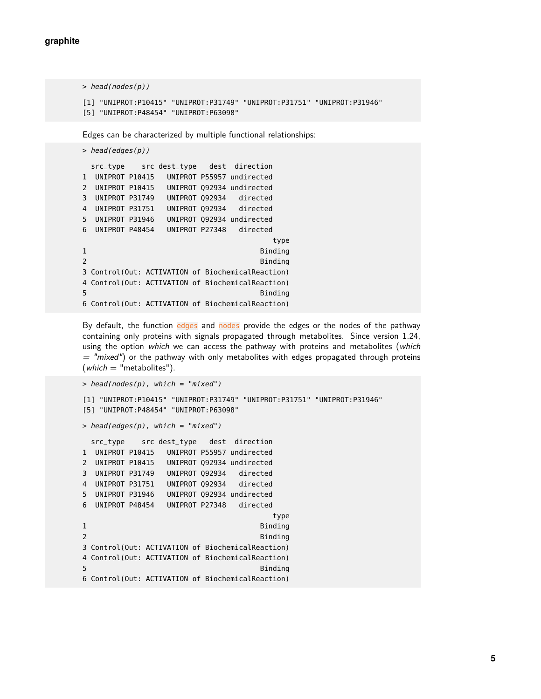```
> head(nodes(p))
[1] "UNIPROT:P10415" "UNIPROT:P31749" "UNIPROT:P31751" "UNIPROT:P31946"
[5] "UNIPROT:P48454" "UNIPROT:P63098"
```
Edges can be characterized by multiple functional relationships:

```
> head(edges(p))
 src_type src dest_type dest direction
1 UNIPROT P10415 UNIPROT P55957 undirected
2 UNIPROT P10415 UNIPROT Q92934 undirected
3 UNIPROT P31749 UNIPROT Q92934 directed
4 UNIPROT P31751 UNIPROT Q92934 directed
5 UNIPROT P31946 UNIPROT Q92934 undirected
6 UNIPROT P48454 UNIPROT P27348 directed
                                     type
1 Binding
2 Binding
3 Control(Out: ACTIVATION of BiochemicalReaction)
4 Control(Out: ACTIVATION of BiochemicalReaction)
                                  Binding
6 Control(Out: ACTIVATION of BiochemicalReaction)
```
By default, the function edges and nodes provide the edges or the nodes of the pathway containing only proteins with signals propagated through metabolites. Since version 1.24, using the option which we can access the pathway with proteins and metabolites (which  $=$  "mixed") or the pathway with only metabolites with edges propagated through proteins  $(which = "metabolites").$ 

```
> head(nodes(p), which = "mixed")[1] "UNIPROT:P10415" "UNIPROT:P31749" "UNIPROT:P31751" "UNIPROT:P31946"
[5] "UNIPROT:P48454" "UNIPROT:P63098"
> head(edges(p), which = "mixed")src_type src dest_type dest direction
1 UNIPROT P10415 UNIPROT P55957 undirected
2 UNIPROT P10415 UNIPROT Q92934 undirected
3 UNIPROT P31749 UNIPROT Q92934 directed
4 UNIPROT P31751 UNIPROT Q92934 directed
5 UNIPROT P31946 UNIPROT Q92934 undirected
6 UNIPROT P48454 UNIPROT P27348 directed
                                     type
1 Binding
2 Binding
3 Control(Out: ACTIVATION of BiochemicalReaction)
4 Control(Out: ACTIVATION of BiochemicalReaction)
5 Binding
6 Control(Out: ACTIVATION of BiochemicalReaction)
```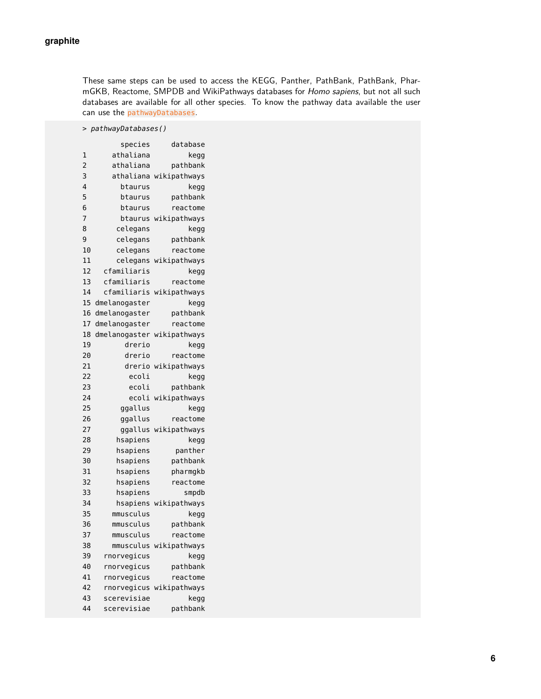These same steps can be used to access the KEGG, Panther, PathBank, PathBank, PharmGKB, Reactome, SMPDB and WikiPathways databases for Homo sapiens, but not all such databases are available for all other species. To know the pathway data available the user can use the pathwayDatabases.

> pathwayDatabases() species database 1 athaliana kegg 2 athaliana pathbank 3 athaliana wikipathways 4 btaurus kegg 5 btaurus pathbank 6 btaurus reactome 7 btaurus wikipathways 8 celegans kegg 9 celegans pathbank 10 celegans reactome 11 celegans wikipathways 12 cfamiliaris kegg 13 cfamiliaris reactome 14 cfamiliaris wikipathways 15 dmelanogaster kegg 16 dmelanogaster pathbank 17 dmelanogaster reactome 18 dmelanogaster wikipathways 19 drerio kegg 20 drerio reactome 21 drerio wikipathways 22 ecoli kegg 23 ecoli pathbank 24 ecoli wikipathways 25 ggallus kegg 26 ggallus reactome 27 ggallus wikipathways 28 hsapiens kegg 29 hsapiens panther 30 hsapiens pathbank 31 hsapiens pharmgkb 32 hsapiens reactome 33 hsapiens smpdb 34 hsapiens wikipathways 35 mmusculus kegg 36 mmusculus pathbank 37 mmusculus reactome 38 mmusculus wikipathways 39 rnorvegicus kegg 40 rnorvegicus pathbank 41 rnorvegicus reactome 42 rnorvegicus wikipathways 43 scerevisiae kegg 44 scerevisiae pathbank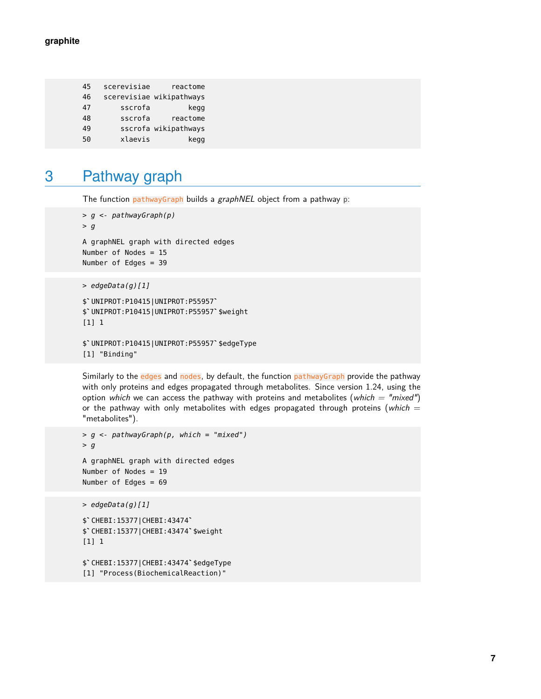| reactome                 | scerevisiae | 45 |
|--------------------------|-------------|----|
| scerevisiae wikipathways |             | 46 |
| kegg                     | sscrofa     | 47 |
| reactome                 | sscrofa     | 48 |
| sscrofa wikipathways     |             | 49 |
| kegg                     | xlaevis     | 50 |

## <span id="page-6-0"></span>3 Pathway graph

The function pathwayGraph builds a graphNEL object from a pathway p:

```
> g <- pathwayGraph(p)
> gA graphNEL graph with directed edges
Number of Nodes = 15
Number of Edges = 39
```

```
> edgeData(g)[1]
```

```
$`UNIPROT:P10415|UNIPROT:P55957`
$`UNIPROT:P10415|UNIPROT:P55957`$weight
[1] 1
```

```
$`UNIPROT:P10415|UNIPROT:P55957`$edgeType
[1] "Binding"
```
Similarly to the edges and nodes, by default, the function pathwayGraph provide the pathway with only proteins and edges propagated through metabolites. Since version 1.24, using the option which we can access the pathway with proteins and metabolites (which  $=$  "mixed") or the pathway with only metabolites with edges propagated through proteins (which  $=$ "metabolites").

```
> g <- pathwayGraph(p, which = "mixed")
> gA graphNEL graph with directed edges
Number of Nodes = 19
Number of Edges = 69
> edgeData(g)[1]
$`CHEBI:15377|CHEBI:43474`
$`CHEBI:15377|CHEBI:43474`$weight
```
[1] 1

```
$`CHEBI:15377|CHEBI:43474`$edgeType
[1] "Process(BiochemicalReaction)"
```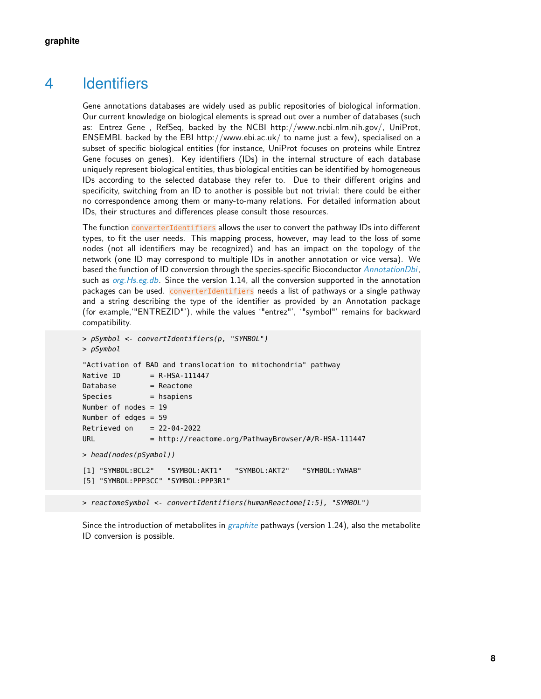### 4 Identifiers

Gene annotations databases are widely used as public repositories of biological information. Our current knowledge on biological elements is spread out over a number of databases (such as: Entrez Gene , RefSeq, backed by the NCBI http://www.ncbi.nlm.nih.gov/, UniProt, ENSEMBL backed by the EBI http://www.ebi.ac.uk/ to name just a few), specialised on a subset of specific biological entities (for instance, UniProt focuses on proteins while Entrez Gene focuses on genes). Key identifiers (IDs) in the internal structure of each database uniquely represent biological entities, thus biological entities can be identified by homogeneous IDs according to the selected database they refer to. Due to their different origins and specificity, switching from an ID to another is possible but not trivial: there could be either no correspondence among them or many-to-many relations. For detailed information about IDs, their structures and differences please consult those resources.

The function converterIdentifiers allows the user to convert the pathway IDs into different types, to fit the user needs. This mapping process, however, may lead to the loss of some nodes (not all identifiers may be recognized) and has an impact on the topology of the network (one ID may correspond to multiple IDs in another annotation or vice versa). We based the function of ID conversion through the species-specific Bioconductor [AnnotationDbi](http://bioconductor.org/packages/AnnotationDbi), such as org. Hs.eg.db. Since the version 1.14, all the conversion supported in the annotation packages can be used. converterIdentifiers needs a list of pathways or a single pathway and a string describing the type of the identifier as provided by an Annotation package (for example,'"ENTREZID"'), while the values '"entrez"', '"symbol"' remains for backward compatibility.

```
> pSymbol <- convertIdentifiers(p, "SYMBOL")
> pSymbol
"Activation of BAD and translocation to mitochondria" pathway
Native ID = R-HSA-111447
Database = Reactome
Species = hsapiens
Number of nodes = 19
Number of edges = 59
Retrieved on = 22-04-2022URL = http://reactome.org/PathwayBrowser/#/R-HSA-111447
> head(nodes(pSymbol))
[1] "SYMBOL:BCL2" "SYMBOL:AKT1" "SYMBOL:AKT2" "SYMBOL:YWHAB"
[5] "SYMBOL:PPP3CC" "SYMBOL:PPP3R1"
```
Since the introduction of metabolites in *[graphite](http://bioconductor.org/packages/graphite)* pathways (version 1.24), also the metabolite ID conversion is possible.

> reactomeSymbol <- convertIdentifiers(humanReactome[1:5], "SYMBOL")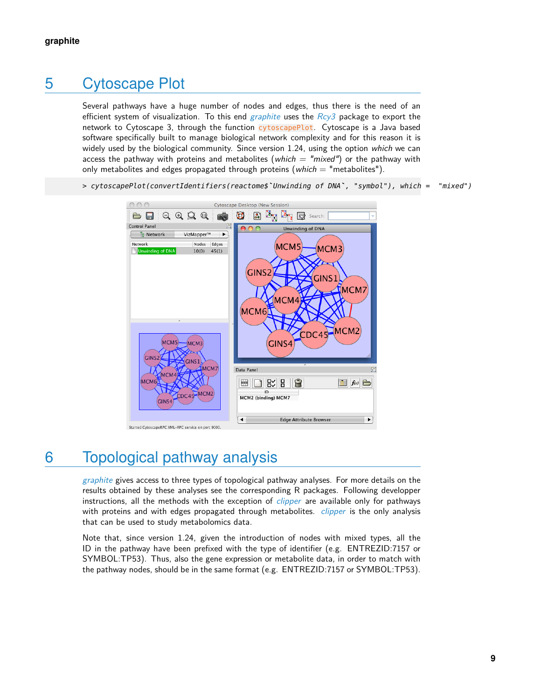## 5 Cytoscape Plot

<span id="page-8-0"></span>Several pathways have a huge number of nodes and edges, thus there is the need of an efficient system of visualization. To this end [graphite](http://bioconductor.org/packages/graphite) uses the  $Rcy3$  package to export the network to Cytoscape 3, through the function cytoscapePlot. Cytoscape is a Java based software specifically built to manage biological network complexity and for this reason it is widely used by the biological community. Since version 1.24, using the option which we can access the pathway with proteins and metabolites (which  $=$  "mixed") or the pathway with only metabolites and edges propagated through proteins (which  $=$  "metabolites").

> cytoscapePlot(convertIdentifiers(reactome\$`Unwinding of DNA`, "symbol"), which = "mixed")



Started CytoscapeRPC XML-RPC service on port 9000

## <span id="page-8-1"></span>6 Topological pathway analysis

[graphite](http://bioconductor.org/packages/graphite) gives access to three types of topological pathway analyses. For more details on the results obtained by these analyses see the corresponding R packages. Following developper instructions, all the methods with the exception of *[clipper](http://bioconductor.org/packages/clipper)* are available only for pathways with proteins and with edges propagated through metabolites. *[clipper](http://bioconductor.org/packages/clipper)* is the only analysis that can be used to study metabolomics data.

<span id="page-8-2"></span>Note that, since version 1.24, given the introduction of nodes with mixed types, all the ID in the pathway have been prefixed with the type of identifier (e.g. ENTREZID:7157 or SYMBOL:TP53). Thus, also the gene expression or metabolite data, in order to match with the pathway nodes, should be in the same format (e.g. ENTREZID:7157 or SYMBOL:TP53).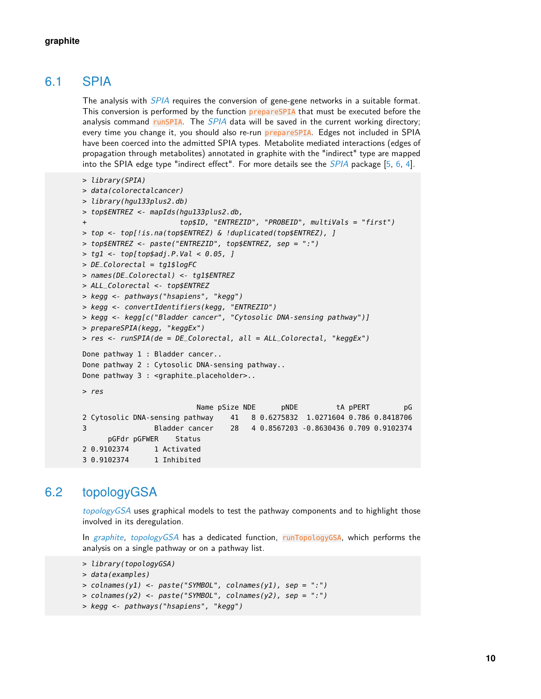### 6.1 SPIA

The analysis with *[SPIA](http://bioconductor.org/packages/SPIA)* requires the conversion of gene-gene networks in a suitable format. This conversion is performed by the function prepareSPIA that must be executed before the analysis command run[SPIA](http://bioconductor.org/packages/SPIA). The SPIA data will be saved in the current working directory; every time you change it, you should also re-run prepareSPIA. Edges not included in SPIA have been coerced into the admitted SPIA types. Metabolite mediated interactions (edges of propagation through metabolites) annotated in graphite with the "indirect" type are mapped into the SPIA edge type "indirect effect". For more details see the [SPIA](http://bioconductor.org/packages/SPIA) package [\[5,](#page-14-3) [6,](#page-14-4) [4\]](#page-14-5).

```
> library(SPIA)
> data(colorectalcancer)
> library(hgu133plus2.db)
> top$ENTREZ <- mapIds(hgu133plus2.db,
+ top$ID, "ENTREZID", "PROBEID", multiVals = "first")
> top <- top[!is.na(top$ENTREZ) & !duplicated(top$ENTREZ), ]
> top$ENTREZ <- paste("ENTREZID", top$ENTREZ, sep = ":")
> tg1 <- top[top$adj.P.Val < 0.05, ]
> DE_Colorectal = tg1$logFC
> names(DE_Colorectal) <- tg1$ENTREZ
> ALL_Colorectal <- top$ENTREZ
> kegg <- pathways("hsapiens", "kegg")
> kegg <- convertIdentifiers(kegg, "ENTREZID")
> kegg <- kegg[c("Bladder cancer", "Cytosolic DNA-sensing pathway")]
> prepareSPIA(kegg, "keggEx")
> res < - runsPIA(de = DE\_Colorectal, all = ALL\_Colorectal, "keggEx")Done pathway 1 : Bladder cancer..
Done pathway 2 : Cytosolic DNA-sensing pathway..
Done pathway 3 : <graphite_placeholder>..
> res
                         Name pSize NDE pNDE tA pPERT pG
2 Cytosolic DNA-sensing pathway 41 8 0.6275832 1.0271604 0.786 0.8418706
3 Bladder cancer 28 4 0.8567203 -0.8630436 0.709 0.9102374
     pGFdr pGFWER Status
2 0.9102374 1 Activated
3 0.9102374 1 Inhibited
```
### 6.2 topologyGSA

<span id="page-9-0"></span>[topologyGSA](http://bioconductor.org/packages/topologyGSA) uses graphical models to test the pathway components and to highlight those involved in its deregulation.

In [graphite](http://bioconductor.org/packages/graphite), [topologyGSA](http://bioconductor.org/packages/topologyGSA) has a dedicated function, runTopologyGSA, which performs the analysis on a single pathway or on a pathway list.

```
> library(topologyGSA)
```

```
> data(examples)
```
- > colnames(y1) <- paste("SYMBOL", colnames(y1), sep = ":")
- > colnames(y2) <- paste("SYMBOL", colnames(y2), sep = ":")
- > kegg <- pathways("hsapiens", "kegg")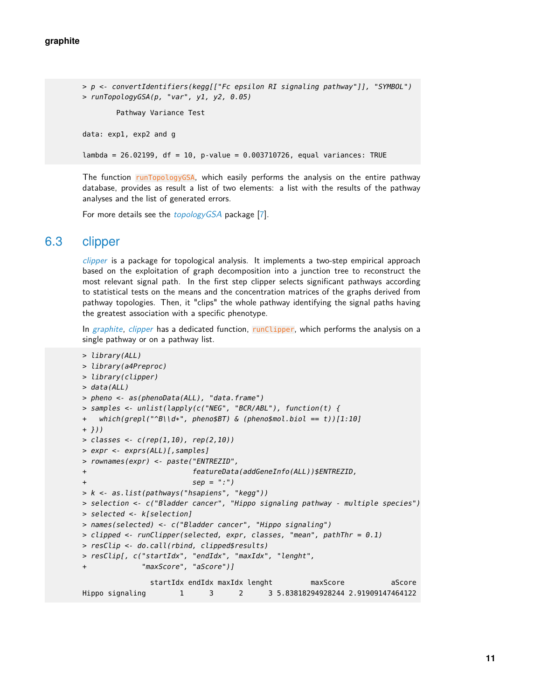```
> p <- convertIdentifiers(kegg[["Fc epsilon RI signaling pathway"]], "SYMBOL")
> runTopologyGSA(p, "var", y1, y2, 0.05)
        Pathway Variance Test
data: exp1, exp2 and g
lambda = 26.02199, df = 10, p-value = 0.003710726, equal variances: TRUE
```
The function runTopologyGSA, which easily performs the analysis on the entire pathway database, provides as result a list of two elements: a list with the results of the pathway analyses and the list of generated errors.

<span id="page-10-0"></span>For more details see the *[topologyGSA](http://bioconductor.org/packages/topologyGSA)* package [\[7\]](#page-14-6).

#### 6.3 clipper

[clipper](http://bioconductor.org/packages/clipper) is a package for topological analysis. It implements a two-step empirical approach based on the exploitation of graph decomposition into a junction tree to reconstruct the most relevant signal path. In the first step clipper selects significant pathways according to statistical tests on the means and the concentration matrices of the graphs derived from pathway topologies. Then, it "clips" the whole pathway identifying the signal paths having the greatest association with a specific phenotype.

In [graphite](http://bioconductor.org/packages/graphite), [clipper](http://bioconductor.org/packages/clipper) has a dedicated function, runClipper, which performs the analysis on a single pathway or on a pathway list.

```
> library(ALL)
> library(a4Preproc)
> library(clipper)
> data(ALL)
> pheno <- as(phenoData(ALL), "data.frame")
> samples <- unlist(lapply(c("NEG", "BCR/ABL"), function(t) {
+ which(grepl("^B\\d*", pheno$BT) & (pheno$mol.biol == t))[1:10]
+ }))
> classes <- c(rep(1,10), rep(2,10))
> expr <- exprs(ALL)[,samples]
> rownames(expr) <- paste("ENTREZID",
+ featureData(addGeneInfo(ALL))$ENTREZID,
                        sep = ";"')> k <- as.list(pathways("hsapiens", "kegg"))
> selection <- c("Bladder cancer", "Hippo signaling pathway - multiple species")
> selected <- k[selection]
> names(selected) <- c("Bladder cancer", "Hippo signaling")
> clipped <- runClipper(selected, expr, classes, "mean", pathThr = 0.1)
> resClip <- do.call(rbind, clipped$results)
> resClip[, c("startIdx", "endIdx", "maxIdx", "lenght",
             "maxScore", "aScore")]
               startIdx endIdx maxIdx lenght maxScore aScore
Hippo signaling 1 3 2 3 5.83818294928244 2.91909147464122
```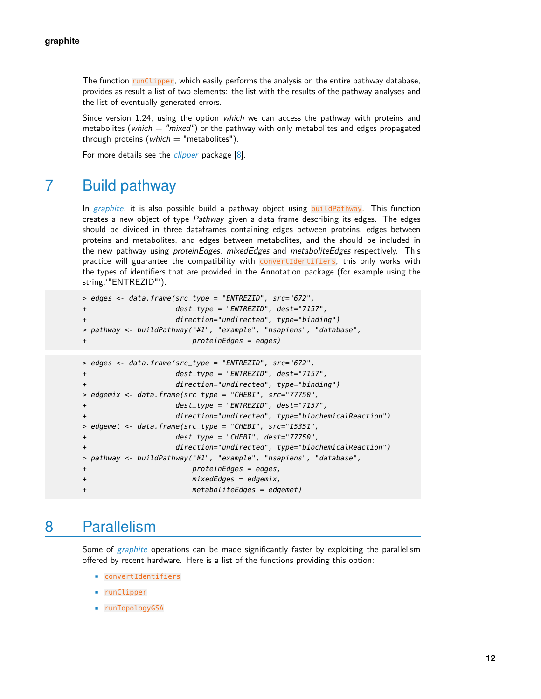The function runClipper, which easily performs the analysis on the entire pathway database, provides as result a list of two elements: the list with the results of the pathway analyses and the list of eventually generated errors.

Since version 1.24, using the option which we can access the pathway with proteins and metabolites (which  $=$  "mixed") or the pathway with only metabolites and edges propagated through proteins (which  $=$  "metabolites").

<span id="page-11-0"></span>For more details see the *[clipper](http://bioconductor.org/packages/clipper)* package [\[8\]](#page-14-7).

### 7 Build pathway

In [graphite](http://bioconductor.org/packages/graphite), it is also possible build a pathway object using buildPathway. This function creates a new object of type Pathway given a data frame describing its edges. The edges should be divided in three dataframes containing edges between proteins, edges between proteins and metabolites, and edges between metabolites, and the should be included in the new pathway using *proteinEdges*, mixedEdges and metaboliteEdges respectively. This practice will guarantee the compatibility with convertIdentifiers, this only works with the types of identifiers that are provided in the Annotation package (for example using the string,'"ENTREZID"').

```
> edges <- data.frame(src_type = "ENTREZID", src="672",
+ dest_type = "ENTREZID", dest="7157",
+ direction="undirected", type="binding")
> pathway <- buildPathway("#1", "example", "hsapiens", "database",
                      proteinEdges = edges)
```

```
> edges <- data.frame(src_type = "ENTREZID", src="672",
+ dest_type = "ENTREZID", dest="7157",
+ direction="undirected", type="binding")
> edgemix <- data.frame(src_type = "CHEBI", src="77750",
+ dest_type = "ENTREZID", dest="7157",
+ direction="undirected", type="biochemicalReaction")
> edgemet <- data.frame(src_type = "CHEBI", src="15351",
+ dest_type = "CHEBI", dest="77750",
+ direction="undirected", type="biochemicalReaction")
> pathway <- buildPathway("#1", "example", "hsapiens", "database",
+ proteinEdges = edges,
+ mixedEdges = edgemix,
+ metaboliteEdges = edgemet)
```
### <span id="page-11-1"></span>8 Parallelism

Some of [graphite](http://bioconductor.org/packages/graphite) operations can be made significantly faster by exploiting the parallelism offered by recent hardware. Here is a list of the functions providing this option:

- convertIdentifiers
- runClipper
- runTopologyGSA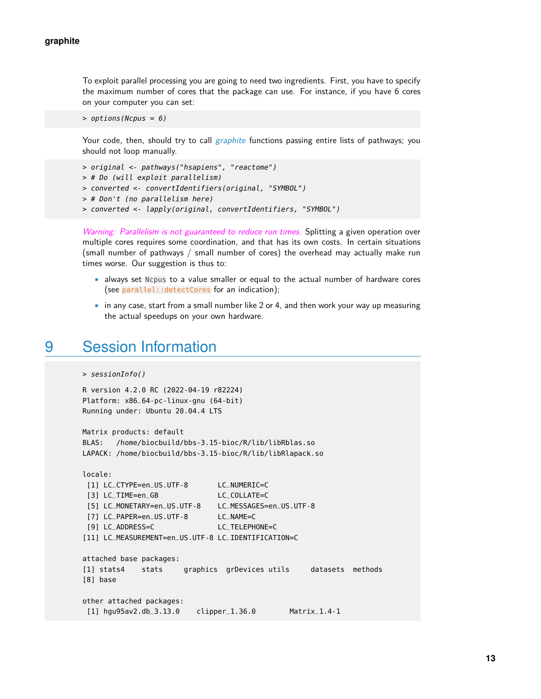To exploit parallel processing you are going to need two ingredients. First, you have to specify the maximum number of cores that the package can use. For instance, if you have 6 cores on your computer you can set:

```
> options(Ncpus = 6)
```
Your code, then, should try to call *[graphite](http://bioconductor.org/packages/graphite)* functions passing entire lists of pathways; you should not loop manually.

```
> original <- pathways("hsapiens", "reactome")
> # Do (will exploit parallelism)
> converted <- convertIdentifiers(original, "SYMBOL")
> # Don't (no parallelism here)
> converted <- lapply(original, convertIdentifiers, "SYMBOL")
```
Warning: Parallelism is not guaranteed to reduce run times. Splitting a given operation over multiple cores requires some coordination, and that has its own costs. In certain situations (small number of pathways / small number of cores) the overhead may actually make run times worse. Our suggestion is thus to:

- always set Ncpus to a value smaller or equal to the actual number of hardware cores (see parallel::detectCores for an indication);
- <span id="page-12-0"></span>• in any case, start from a small number like 2 or 4, and then work your way up measuring the actual speedups on your own hardware.

### 9 Session Information

```
> sessionInfo()
```

```
R version 4.2.0 RC (2022-04-19 r82224)
Platform: x86_64-pc-linux-gnu (64-bit)
Running under: Ubuntu 20.04.4 LTS
```

```
Matrix products: default
BLAS: /home/biocbuild/bbs-3.15-bioc/R/lib/libRblas.so
LAPACK: /home/biocbuild/bbs-3.15-bioc/R/lib/libRlapack.so
```

```
locale:
[1] LC_CTYPE=en_US.UTF-8 LC_NUMERIC=C
[3] LC_TIME=en_GB LC_COLLATE=C
[5] LC_MONETARY=en_US.UTF-8 LC_MESSAGES=en_US.UTF-8
[7] LC_PAPER=en_US.UTF-8 LC_NAME=C
[9] LC_ADDRESS=C LC_TELEPHONE=C
[11] LC_MEASUREMENT=en_US.UTF-8 LC_IDENTIFICATION=C
attached base packages:
[1] stats4 stats graphics grDevices utils datasets methods
[8] base
other attached packages:
[1] hgu95av2.db_3.13.0 clipper_1.36.0 Matrix_1.4-1
```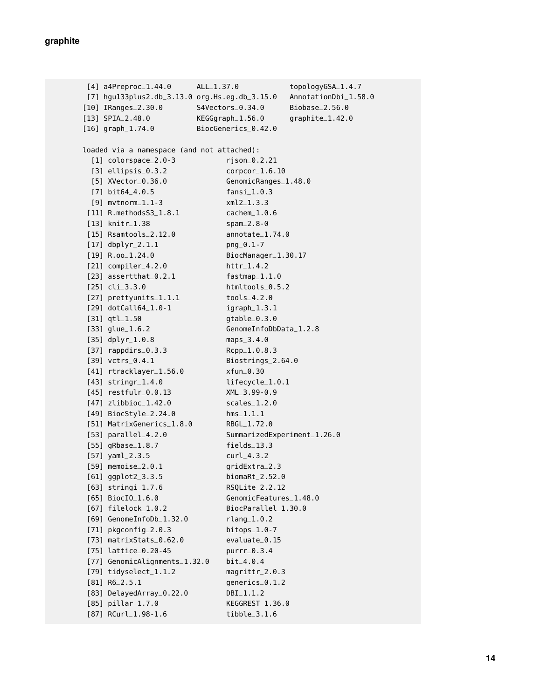[4] a4Preproc\_1.44.0 ALL\_1.37.0 topologyGSA\_1.4.7 [7] hgu133plus2.db\_3.13.0 org.Hs.eg.db\_3.15.0 AnnotationDbi\_1.58.0 [10] IRanges\_2.30.0 S4Vectors\_0.34.0 Biobase\_2.56.0 [13] SPIA\_2.48.0 KEGGgraph\_1.56.0 graphite\_1.42.0 [16] graph\_1.74.0 BiocGenerics\_0.42.0 loaded via a namespace (and not attached): [1] colorspace\_2.0-3 rjson\_0.2.21 [3] ellipsis\_0.3.2 corpcor\_1.6.10 [5] XVector\_0.36.0 GenomicRanges\_1.48.0 [7] bit64\_4.0.5 fansi\_1.0.3 [9] mvtnorm\_1.1-3 xml2\_1.3.3 [11] R.methodsS3\_1.8.1 cachem\_1.0.6 [13] knitr\_1.38 spam\_2.8-0 [15] Rsamtools\_2.12.0 annotate\_1.74.0 [17] dbplyr\_2.1.1 png\_0.1-7 [19] R.oo\_1.24.0 BiocManager\_1.30.17 [21] compiler\_4.2.0 httr\_1.4.2 [23] assertthat\_0.2.1 fastmap\_1.1.0 [25] cli\_3.3.0 htmltools\_0.5.2 [27] prettyunits\_1.1.1 tools\_4.2.0 [29] dotCall64\_1.0-1 igraph\_1.3.1 [31] qtl\_1.50 gtable\_0.3.0 [33] glue\_1.6.2 GenomeInfoDbData\_1.2.8 [35] dplyr\_1.0.8 maps\_3.4.0 [37] rappdirs\_0.3.3 Rcpp\_1.0.8.3 [39] vctrs\_0.4.1 Biostrings\_2.64.0 [41] rtracklayer\_1.56.0 xfun\_0.30 [43] stringr\_1.4.0 lifecycle\_1.0.1 [45] restfulr\_0.0.13 XML\_3.99-0.9 [47] zlibbioc\_1.42.0 scales\_1.2.0 [49] BiocStyle\_2.24.0 hms\_1.1.1 [51] MatrixGenerics\_1.8.0 RBGL\_1.72.0 [53] parallel\_4.2.0 SummarizedExperiment\_1.26.0 [55] gRbase\_1.8.7 fields\_13.3 [57] yaml\_2.3.5 curl\_4.3.2 [59] memoise\_2.0.1 gridExtra\_2.3 [61] ggplot2\_3.3.5 biomaRt\_2.52.0 [63] stringi\_1.7.6 RSQLite\_2.2.12 [65] BiocIO\_1.6.0 GenomicFeatures\_1.48.0 [67] filelock\_1.0.2 BiocParallel\_1.30.0 [69] GenomeInfoDb\_1.32.0 rlang\_1.0.2 [71] pkgconfig\_2.0.3 bitops\_1.0-7 [73] matrixStats\_0.62.0 evaluate\_0.15 [75] lattice\_0.20-45 purrr\_0.3.4 [77] GenomicAlignments\_1.32.0 bit\_4.0.4 [79] tidyselect\_1.1.2 magrittr\_2.0.3 [81] R6\_2.5.1 generics\_0.1.2 [83] DelayedArray\_0.22.0 DBI\_1.1.2 [85] pillar\_1.7.0 KEGGREST\_1.36.0 [87] RCurl\_1.98-1.6 tibble\_3.1.6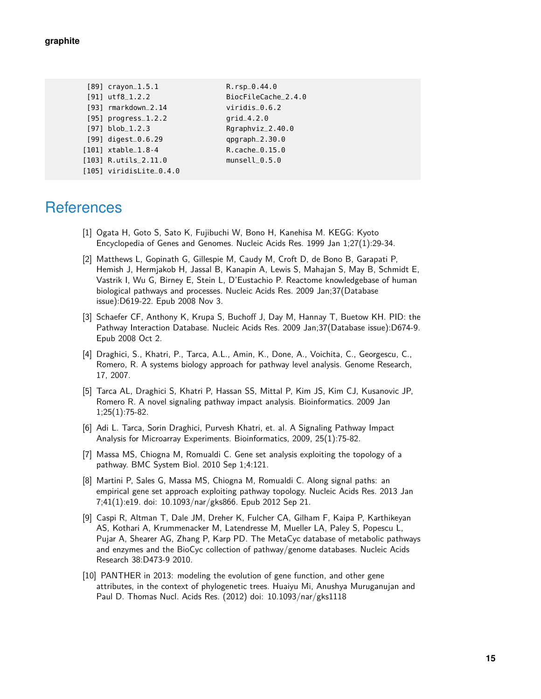| $[89]$ crayon_1.5.1       | $R.rsp_0.44.0$      |
|---------------------------|---------------------|
| $[91]$ utf8_1.2.2         | BiocFileCache_2.4.0 |
| [93] rmarkdown_2.14       | $viridis_0.6.2$     |
| $[95]$ progress $-1.2.2$  | $grid_4.2.0$        |
| $[97]$ blob_1.2.3         | Rgraphviz_2.40.0    |
| $[99]$ digest_0.6.29      | $qpqraph_2.30.0$    |
| $[101]$ xtable_1.8-4      | $R.cache_0.15.0$    |
| $[103]$ R.utils_2.11.0    | $munsell_0.5.0$     |
| $[105]$ viridisLite_0.4.0 |                     |

### **References**

- <span id="page-14-0"></span>[1] Ogata H, Goto S, Sato K, Fujibuchi W, Bono H, Kanehisa M. KEGG: Kyoto Encyclopedia of Genes and Genomes. Nucleic Acids Res. 1999 Jan 1;27(1):29-34.
- <span id="page-14-2"></span>[2] Matthews L, Gopinath G, Gillespie M, Caudy M, Croft D, de Bono B, Garapati P, Hemish J, Hermjakob H, Jassal B, Kanapin A, Lewis S, Mahajan S, May B, Schmidt E, Vastrik I, Wu G, Birney E, Stein L, D'Eustachio P. Reactome knowledgebase of human biological pathways and processes. Nucleic Acids Res. 2009 Jan;37(Database issue):D619-22. Epub 2008 Nov 3.
- [3] Schaefer CF, Anthony K, Krupa S, Buchoff J, Day M, Hannay T, Buetow KH. PID: the Pathway Interaction Database. Nucleic Acids Res. 2009 Jan;37(Database issue):D674-9. Epub 2008 Oct 2.
- <span id="page-14-5"></span>[4] Draghici, S., Khatri, P., Tarca, A.L., Amin, K., Done, A., Voichita, C., Georgescu, C., Romero, R. A systems biology approach for pathway level analysis. Genome Research, 17, 2007.
- <span id="page-14-3"></span>[5] Tarca AL, Draghici S, Khatri P, Hassan SS, Mittal P, Kim JS, Kim CJ, Kusanovic JP, Romero R. A novel signaling pathway impact analysis. Bioinformatics. 2009 Jan 1;25(1):75-82.
- <span id="page-14-4"></span>[6] Adi L. Tarca, Sorin Draghici, Purvesh Khatri, et. al. A Signaling Pathway Impact Analysis for Microarray Experiments. Bioinformatics, 2009, 25(1):75-82.
- <span id="page-14-6"></span>[7] Massa MS, Chiogna M, Romualdi C. Gene set analysis exploiting the topology of a pathway. BMC System Biol. 2010 Sep 1;4:121.
- <span id="page-14-7"></span>[8] Martini P, Sales G, Massa MS, Chiogna M, Romualdi C. Along signal paths: an empirical gene set approach exploiting pathway topology. Nucleic Acids Res. 2013 Jan 7;41(1):e19. doi: 10.1093/nar/gks866. Epub 2012 Sep 21.
- [9] Caspi R, Altman T, Dale JM, Dreher K, Fulcher CA, Gilham F, Kaipa P, Karthikeyan AS, Kothari A, Krummenacker M, Latendresse M, Mueller LA, Paley S, Popescu L, Pujar A, Shearer AG, Zhang P, Karp PD. The MetaCyc database of metabolic pathways and enzymes and the BioCyc collection of pathway/genome databases. Nucleic Acids Research 38:D473-9 2010.
- <span id="page-14-1"></span>[10] PANTHER in 2013: modeling the evolution of gene function, and other gene attributes, in the context of phylogenetic trees. Huaiyu Mi, Anushya Muruganujan and Paul D. Thomas Nucl. Acids Res. (2012) doi: 10.1093/nar/gks1118